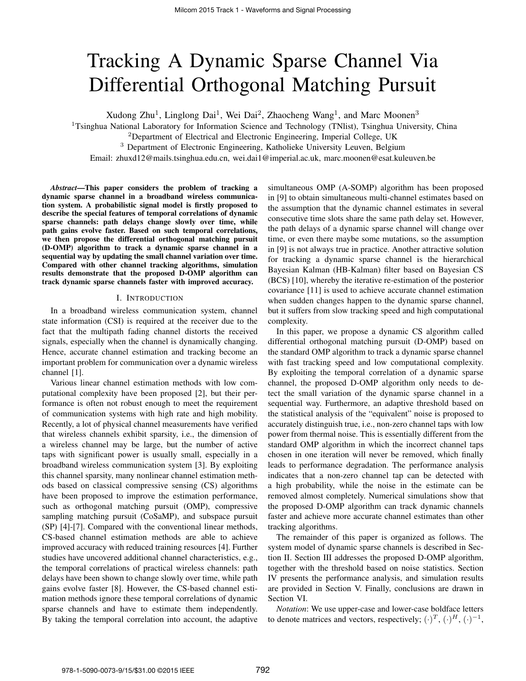# Tracking A Dynamic Sparse Channel Via Differential Orthogonal Matching Pursuit

Xudong Zhu<sup>1</sup>, Linglong Dai<sup>1</sup>, Wei Dai<sup>2</sup>, Zhaocheng Wang<sup>1</sup>, and Marc Moonen<sup>3</sup>

<sup>1</sup>Tsinghua National Laboratory for Information Science and Technology (TNlist), Tsinghua University, China

<sup>2</sup>Department of Electrical and Electronic Engineering, Imperial College, UK

<sup>3</sup> Department of Electronic Engineering, Katholieke University Leuven, Belgium

Email: zhuxd12@mails.tsinghua.edu.cn, wei.dai1@imperial.ac.uk, marc.moonen@esat.kuleuven.be

*Abstract*—This paper considers the problem of tracking a dynamic sparse channel in a broadband wireless communication system. A probabilistic signal model is firstly proposed to describe the special features of temporal correlations of dynamic sparse channels: path delays change slowly over time, while path gains evolve faster. Based on such temporal correlations, we then propose the differential orthogonal matching pursuit (D-OMP) algorithm to track a dynamic sparse channel in a sequential way by updating the small channel variation over time. Compared with other channel tracking algorithms, simulation results demonstrate that the proposed D-OMP algorithm can track dynamic sparse channels faster with improved accuracy.

## I. INTRODUCTION

In a broadband wireless communication system, channel state information (CSI) is required at the receiver due to the fact that the multipath fading channel distorts the received signals, especially when the channel is dynamically changing. Hence, accurate channel estimation and tracking become an important problem for communication over a dynamic wireless channel [1].

Various linear channel estimation methods with low computational complexity have been proposed [2], but their performance is often not robust enough to meet the requirement of communication systems with high rate and high mobility. Recently, a lot of physical channel measurements have verified that wireless channels exhibit sparsity, i.e., the dimension of a wireless channel may be large, but the number of active taps with significant power is usually small, especially in a broadband wireless communication system [3]. By exploiting this channel sparsity, many nonlinear channel estimation methods based on classical compressive sensing (CS) algorithms have been proposed to improve the estimation performance, such as orthogonal matching pursuit (OMP), compressive sampling matching pursuit (CoSaMP), and subspace pursuit (SP) [4]-[7]. Compared with the conventional linear methods, CS-based channel estimation methods are able to achieve improved accuracy with reduced training resources [4]. Further studies have uncovered additional channel characteristics, e.g., the temporal correlations of practical wireless channels: path delays have been shown to change slowly over time, while path gains evolve faster [8]. However, the CS-based channel estimation methods ignore these temporal correlations of dynamic sparse channels and have to estimate them independently. By taking the temporal correlation into account, the adaptive

simultaneous OMP (A-SOMP) algorithm has been proposed in [9] to obtain simultaneous multi-channel estimates based on the assumption that the dynamic channel estimates in several consecutive time slots share the same path delay set. However, the path delays of a dynamic sparse channel will change over time, or even there maybe some mutations, so the assumption in [9] is not always true in practice. Another attractive solution for tracking a dynamic sparse channel is the hierarchical Bayesian Kalman (HB-Kalman) filter based on Bayesian CS (BCS) [10], whereby the iterative re-estimation of the posterior covariance [11] is used to achieve accurate channel estimation when sudden changes happen to the dynamic sparse channel, but it suffers from slow tracking speed and high computational complexity.

In this paper, we propose a dynamic CS algorithm called differential orthogonal matching pursuit (D-OMP) based on the standard OMP algorithm to track a dynamic sparse channel with fast tracking speed and low computational complexity. By exploiting the temporal correlation of a dynamic sparse channel, the proposed D-OMP algorithm only needs to detect the small variation of the dynamic sparse channel in a sequential way. Furthermore, an adaptive threshold based on the statistical analysis of the "equivalent" noise is proposed to accurately distinguish true, i.e., non-zero channel taps with low power from thermal noise. This is essentially different from the standard OMP algorithm in which the incorrect channel taps chosen in one iteration will never be removed, which finally leads to performance degradation. The performance analysis indicates that a non-zero channel tap can be detected with a high probability, while the noise in the estimate can be removed almost completely. Numerical simulations show that the proposed D-OMP algorithm can track dynamic channels faster and achieve more accurate channel estimates than other tracking algorithms.

The remainder of this paper is organized as follows. The system model of dynamic sparse channels is described in Section II. Section III addresses the proposed D-OMP algorithm, together with the threshold based on noise statistics. Section IV presents the performance analysis, and simulation results are provided in Section V. Finally, conclusions are drawn in Section VI.

*Notation*: We use upper-case and lower-case boldface letters to denote matrices and vectors, respectively;  $(\cdot)^T$ ,  $(\cdot)^H$ ,  $(\cdot)^{-1}$ ,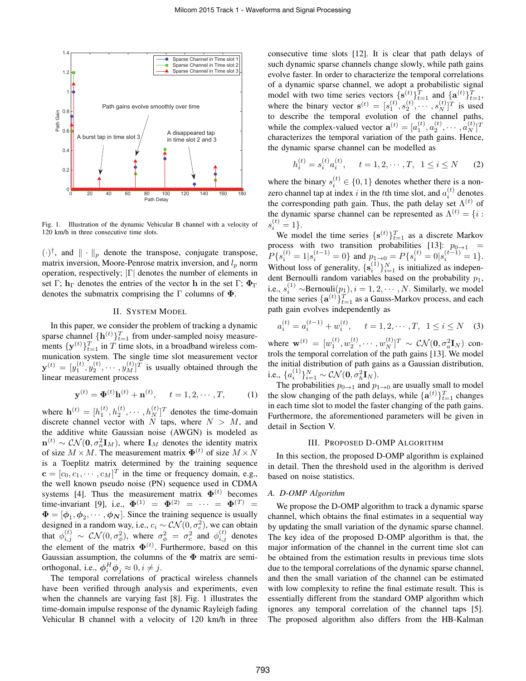

Fig. 1. Illustration of the dynamic Vehicular B channel with a velocity of 120 km/h in three consecutive time slots.

(*·*) *†* , and *∥ · ∥<sup>p</sup>* denote the transpose, conjugate transpose, matrix inversion, Moore-Penrose matrix inversion, and *l<sup>p</sup>* norm operation, respectively; *|*Γ*|* denotes the number of elements in set Γ;  $h_{\Gamma}$  denotes the entries of the vector **h** in the set Γ;  $\Phi_{\Gamma}$ denotes the submatrix comprising the Γ columns of **Φ**.

## II. SYSTEM MODEL

In this paper, we consider the problem of tracking a dynamic sparse channel  ${\bf h}^{(t)}\}_{t=1}^T$  from under-sampled noisy measurements  $\{y^{(t)}\}_{t=1}^T$  in *T* time slots, in a broadband wireless communication system. The single time slot measurement vector  $\mathbf{y}^{(t)} = [y_1^{(t)}, y_2^{(t)}, \cdots, y_M^{(t)}]^T$  is usually obtained through the linear measurement process

$$
\mathbf{y}^{(t)} = \mathbf{\Phi}^{(t)} \mathbf{h}^{(t)} + \mathbf{n}^{(t)}, \quad t = 1, 2, \cdots, T,
$$
 (1)

where  $\mathbf{h}^{(t)} = [h_1^{(t)}, h_2^{(t)}, \cdots, h_N^{(t)}]^T$  denotes the time-domain discrete channel vector with *N* taps, where *N > M*, and the additive white Gaussian noise (AWGN) is modeled as  $\mathbf{n}^{(t)} \sim \mathcal{CN}(\mathbf{0}, \sigma_n^2 \mathbf{I}_M)$ , where  $\mathbf{I}_M$  denotes the identity matrix of size  $M \times M$ . The measurement matrix  $\Phi^{(t)}$  of size  $M \times N$ is a Toeplitz matrix determined by the training sequence  $\mathbf{c} = [c_0, c_1, \cdots, c_M]^T$  in the time or frequency domain, e.g., the well known pseudo noise (PN) sequence used in CDMA systems [4]. Thus the measurement matrix  $\mathbf{\Phi}^{(t)}$  becomes time-invariant [9], i.e.,  $\Phi^{(1)} = \Phi^{(2)} = \cdots = \Phi^{(T)} =$  $\Phi = [\phi_1, \phi_2, \cdots, \phi_N]$ . Since the training sequence is usually designed in a random way, i.e.,  $c_i \sim \mathcal{CN}(0, \sigma_c^2)$ , we can obtain that  $\phi_{i,j}^{(t)} \sim \mathcal{CN}(0, \sigma_{\phi}^2)$ , where  $\sigma_{\phi}^2 = \sigma_c^2$  and  $\phi_{i,j}^{(t)}$  denotes the element of the matrix  $\Phi^{(t)}$ . Furthermore, based on this Gaussian assumption, the columns of the **Φ** matrix are semiorthogonal, i.e.,  $\phi_i^H \phi_j \approx 0, i \neq j$ .

The temporal correlations of practical wireless channels have been verified through analysis and experiments, even when the channels are varying fast [8]. Fig. 1 illustrates the time-domain impulse response of the dynamic Rayleigh fading Vehicular B channel with a velocity of 120 km/h in three

consecutive time slots [12]. It is clear that path delays of such dynamic sparse channels change slowly, while path gains evolve faster. In order to characterize the temporal correlations of a dynamic sparse channel, we adopt a probabilistic signal model with two time series vectors  $\{s^{(t)}\}_{t=1}^T$  and  $\{a^{(t)}\}_{t=1}^T$ , where the binary vector  $\mathbf{s}^{(t)} = [s_1^{(t)}, s_2^{(t)}, \cdots, s_N^{(t)}]^T$  is used to describe the temporal evolution of the channel paths, while the complex-valued vector  $\mathbf{a}^{(t)} = [a_1^{(t)}, a_2^{(t)}, \cdots, a_N^{(t)}]^T$ characterizes the temporal variation of the path gains. Hence, the dynamic sparse channel can be modelled as

$$
h_i^{(t)} = s_i^{(t)} a_i^{(t)}, \quad t = 1, 2, \cdots, T, \ \ 1 \le i \le N \tag{2}
$$

where the binary  $s_i^{(t)} \in \{0,1\}$  denotes whether there is a nonzero channel tap at index *i* in the *t*th time slot, and  $a_i^{(t)}$  denotes the corresponding path gain. Thus, the path delay set  $\Lambda^{(t)}$  of the dynamic sparse channel can be represented as  $\Lambda^{(t)} = \{i :$  $s_i^{(t)} = 1$ 

We model the time series  $\{s^{(t)}\}_{t=1}^T$  as a discrete Markov process with two transition probabilities  $[13]$ :  $p_{0\to1}$  =  $P\{s_i^{(t)} = 1 | s_i^{(t-1)} = 0\}$  and  $p_{1\to 0} = P\{s_i^{(t)} = 0 | s_i^{(t-1)} = 1\}.$ Without loss of generality,  $\{s_i^{(1)}\}_{i=1}^N$  is initialized as independent Bernoulli random variables based on the probability *p*1, i.e.,  $s_i^{(1)}$  ∼Bernouli $(p_1)$ *, i* = 1*,* 2*,* · · *· , N*. Similarly, we model the time series  $\{a^{(t)}\}_{t=1}^T$  as a Gauss-Markov process, and each path gain evolves independently as

$$
a_i^{(t)} = a_i^{(t-1)} + w_i^{(t)}, \quad t = 1, 2, \cdots, T, \quad 1 \le i \le N \tag{3}
$$

where  $\mathbf{w}^{(t)} = [w_1^{(t)}, w_2^{(t)}, \cdots, w_N^{(t)}]^T \sim \mathcal{CN}(\mathbf{0}, \sigma_a^2 \mathbf{I}_N)$  controls the temporal correlation of the path gains [13]. We model the initial distribution of path gains as a Gaussian distribution, i.e.,  $\{a_i^{(1)}\}_{i=1}^N \sim \mathcal{CN}(\mathbf{0}, \sigma_h^2 \mathbf{I}_N).$ 

The probabilities  $p_{0\rightarrow 1}$  and  $p_{1\rightarrow 0}$  are usually small to model the slow changing of the path delays, while  $\{a^{(t)}\}_{t=1}^T$  changes in each time slot to model the faster changing of the path gains. Furthermore, the aforementioned parameters will be given in detail in Section V.

#### III. PROPOSED D-OMP ALGORITHM

In this section, the proposed D-OMP algorithm is explained in detail. Then the threshold used in the algorithm is derived based on noise statistics.

## *A. D-OMP Algorithm*

We propose the D-OMP algorithm to track a dynamic sparse channel, which obtains the final estimates in a sequential way by updating the small variation of the dynamic sparse channel. The key idea of the proposed D-OMP algorithm is that, the major information of the channel in the current time slot can be obtained from the estimation results in previous time slots due to the temporal correlations of the dynamic sparse channel, and then the small variation of the channel can be estimated with low complexity to refine the final estimate result. This is essentially different from the standard OMP algorithm which ignores any temporal correlation of the channel taps [5]. The proposed algorithm also differs from the HB-Kalman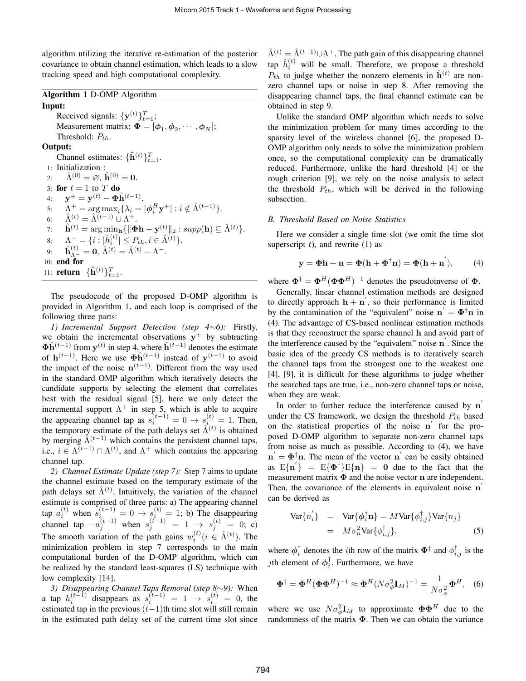algorithm utilizing the iterative re-estimation of the posterior covariance to obtain channel estimation, which leads to a slow tracking speed and high computational complexity.

## Algorithm 1 D-OMP Algorithm

Input: Received signals:  $\{y^{(t)}\}_{t=1}^T$ ; Measurement matrix:  $\mathbf{\Phi} = [\phi_1, \phi_2, \cdots, \phi_N];$ Threshold: *Pth*. Output: Channel estimates:  $\{\hat{\mathbf{h}}^{(t)}\}_{t=1}^T$ . 1: Initialization : 2:  $\hat{\Lambda}^{(0)} = \emptyset$ ,  $\hat{\mathbf{h}}^{(0)} = \mathbf{0}$ . 3: for  $t = 1$  to  $T$  do 4:  $y^+ = y^{(t)} - \Phi \hat{h}^{(t-1)}$ . 5:  $\Lambda^+ = \arg \max_i {\{\lambda_i = | \boldsymbol{\phi}_i^H \mathbf{y}^+| : i \notin \hat{\Lambda}^{(t-1)} \}}.$ 6:  $\hat{\Lambda}^{(t)} = \hat{\Lambda}^{(t-1)} \cup \hat{\Lambda}^{+}.$  $\hat{\mathbf{h}}^{(t)} = \arg \min_{\mathbf{h}} \{ \|\mathbf{\Phi} \mathbf{h} - \mathbf{y}^{(t)} \|_2 : supp(\mathbf{h}) \subseteq \hat{\Lambda}^{(t)} \}.$  $\Lambda^-\equiv \{i : |\hat{h}_i^{(t)}| \leq P_{th}, i \in \hat{\Lambda}^{(t)}\}.$ 9:  $\hat{\mathbf{h}}_{\Lambda^{-}}^{(t)} = \mathbf{0}, \, \hat{\Lambda}^{(t)} = \hat{\Lambda}^{(t)} - \Lambda^{-}.$ 10: end for 11: **return**  ${\{\hat{\mathbf{h}}^{(t)}\}}_{t=1}^{T}$ .

The pseudocode of the proposed D-OMP algorithm is provided in Algorithm 1, and each loop is comprised of the following three parts:

*1) Incremental Support Detection (step 4∼6):* Firstly, we obtain the incremental observations **y** <sup>+</sup> by subtracting  $\Phi$ **h**<sup> $(t-1)$ </sup> from  $y<sup>(t)</sup>$  in step 4, where  $\hat{h}<sup>(t-1)</sup>$  denotes the estimate of  $h^{(t-1)}$ . Here we use  $\Phi \hat{h}^{(t-1)}$  instead of  $y^{(t-1)}$  to avoid the impact of the noise  $n^{(t-1)}$ . Different from the way used in the standard OMP algorithm which iteratively detects the candidate supports by selecting the element that correlates best with the residual signal [5], here we only detect the incremental support  $\Lambda^+$  in step 5, which is able to acquire the appearing channel tap as  $s_i^{(t-1)} = 0 \rightarrow s_i^{(t)} = 1$ . Then, the temporary estimate of the path delays set  $\hat{\Lambda}^{(t)}$  is obtained by merging  $\hat{\Lambda}^{(t-1)}$  which contains the persistent channel taps, i.e.,  $i \in \Lambda^{(t-1)} \cap \Lambda^{(t)}$ , and  $\Lambda^+$  which contains the appearing channel tap.

*2) Channel Estimate Update (step 7):* Step 7 aims to update the channel estimate based on the temporary estimate of the path delays set  $\hat{\Lambda}^{(t)}$ . Intuitively, the variation of the channel estimate is comprised of three parts: a) The appearing channel  $\alpha_i^{(t)}$  when  $s_{i}^{(t-1)} = 0 \rightarrow s_i^{(t)} = 1$ ; b) The disappearing channel tap  $-a_j^{(t-1)}$  when  $s_j^{(t-1)} = 1 \rightarrow s_j^{(t)} = 0$ ; c) The smooth variation of the path gains  $w_i^{(t)}$  ( $i \in \hat{\Lambda}^{(t)}$ ). The minimization problem in step 7 corresponds to the main computational burden of the D-OMP algorithm, which can be realized by the standard least-squares (LS) technique with low complexity [14].

*3) Disappearing Channel Taps Removal (step 8∼9):* When a tap  $h_i^{(t-1)}$  disappears as  $s_i^{(t-1)} = 1 \rightarrow s_i^{(t)} = 0$ , the estimated tap in the previous (*t−*1)th time slot will still remain in the estimated path delay set of the current time slot since  $\hat{\Lambda}^{(t)} = \hat{\Lambda}^{(t-1)} \cup \Lambda^{+}$ . The path gain of this disappearing channel  $\tan \hat{h}_i^{(t)}$  will be small. Therefore, we propose a threshold  $P_{th}$  to judge whether the nonzero elements in  $\hat{\mathbf{h}}^{(t)}$  are nonzero channel taps or noise in step 8. After removing the disappearing channel taps, the final channel estimate can be obtained in step 9.

Unlike the standard OMP algorithm which needs to solve the minimization problem for many times according to the sparsity level of the wireless channel [6], the proposed D-OMP algorithm only needs to solve the minimization problem once, so the computational complexity can be dramatically reduced. Furthermore, unlike the hard threshold [4] or the rough criterion [9], we rely on the noise analysis to select the threshold *Pth*, which will be derived in the following subsection.

## *B. Threshold Based on Noise Statistics*

Here we consider a single time slot (we omit the time slot superscript  $t$ ), and rewrite  $(1)$  as

$$
\mathbf{y} = \mathbf{\Phi}\mathbf{h} + \mathbf{n} = \mathbf{\Phi}(\mathbf{h} + \mathbf{\Phi}^{\dagger}\mathbf{n}) = \mathbf{\Phi}(\mathbf{h} + \mathbf{n}^{'}),
$$
 (4)

where  $\Phi^{\dagger} = \Phi^H (\Phi \Phi^H)^{-1}$  denotes the pseudoinverse of  $\Phi$ .

Generally, linear channel estimation methods are designed to directly approach  $\mathbf{h} + \mathbf{n}'$ , so their performance is limited by the contamination of the "equivalent" noise  $\mathbf{n}' = \mathbf{\Phi}^{\dagger} \mathbf{n}$  in (4). The advantage of CS-based nonlinear estimation methods is that they reconstruct the sparse channel **h** and avoid part of the interference caused by the "equivalent" noise **n** *′* . Since the basic idea of the greedy CS methods is to iteratively search the channel taps from the strongest one to the weakest one [4], [9], it is difficult for these algorithms to judge whether the searched taps are true, i.e., non-zero channel taps or noise, when they are weak.

In order to further reduce the interference caused by **n** *′* under the CS framework, we design the threshold *Pth* based on the statistical properties of the noise **n** *′* for the proposed D-OMP algorithm to separate non-zero channel taps from noise as much as possible. According to (4), we have  $\mathbf{n}' = \mathbf{\Phi}^{\dagger} \mathbf{n}$ . The mean of the vector  $\mathbf{n}'$  can be easily obtained as  $E\{\mathbf{n}'\} = E\{\Phi^{\dagger}\}E\{\mathbf{n}\} = \mathbf{0}$  due to the fact that the measurement matrix **Φ** and the noise vector **n** are independent. Then, the covariance of the elements in equivalent noise **n** *′* can be derived as

$$
\begin{array}{rcl}\n\text{Var}\{n_{i}^{'}\} & = & \text{Var}\{\phi_{i}^{\dagger}\mathbf{n}\} = M\text{Var}\{\phi_{i,j}^{\dagger}\}\text{Var}\{n_{j}\} \\
& = & M\sigma_{n}^{2}\text{Var}\{\phi_{i,j}^{\dagger}\},\n\end{array} \tag{5}
$$

where  $\phi_i^{\dagger}$  denotes the *i*th row of the matrix  $\Phi^{\dagger}$  and  $\phi_{i,j}^{\dagger}$  is the *j*th element of  $\phi_i^{\dagger}$ . Furthermore, we have

$$
\mathbf{\Phi}^{\dagger} = \mathbf{\Phi}^H (\mathbf{\Phi} \mathbf{\Phi}^H)^{-1} \approx \mathbf{\Phi}^H (N \sigma_{\phi}^2 \mathbf{I}_M)^{-1} = \frac{1}{N \sigma_{\phi}^2} \mathbf{\Phi}^H, \quad (6)
$$

where we use  $N\sigma_{\phi}^2 \mathbf{I}_M$  to approximate  $\mathbf{\Phi} \mathbf{\Phi}^H$  due to the randomness of the matrix **Φ**. Then we can obtain the variance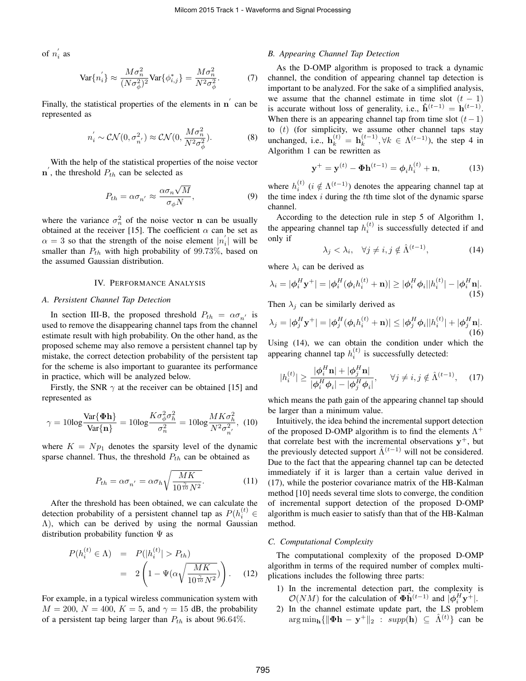of  $n'_i$  as

$$
\text{Var}\{n_{i}^{'}\} \approx \frac{M\sigma_n^2}{(N\sigma_\phi^2)^2} \text{Var}\{\phi_{i,j}^*\} = \frac{M\sigma_n^2}{N^2\sigma_\phi^2}.\tag{7}
$$

Finally, the statistical properties of the elements in **n**<sup> $\prime$ </sup> can be represented as

$$
n_i^{'} \sim \mathcal{CN}(0, \sigma_{n'}^2) \approx \mathcal{CN}(0, \frac{M\sigma_n^2}{N^2\sigma_\phi^2}).
$$
 (8)

With the help of the statistical properties of the noise vector  $\mathbf{n}'$ , the threshold  $P_{th}$  can be selected as

$$
P_{th} = \alpha \sigma_{n'} \approx \frac{\alpha \sigma_n \sqrt{M}}{\sigma_{\phi} N},\tag{9}
$$

where the variance  $\sigma_n^2$  of the noise vector **n** can be usually obtained at the receiver [15]. The coefficient  $\alpha$  can be set as  $\alpha = 3$  so that the strength of the noise element  $|n'_i|$  will be smaller than *Pth* with high probability of 99*.*73%, based on the assumed Gaussian distribution.

## IV. PERFORMANCE ANALYSIS

## *A. Persistent Channel Tap Detection*

In section III-B, the proposed threshold  $P_{th} = \alpha \sigma_{n'}$  is used to remove the disappearing channel taps from the channel estimate result with high probability. On the other hand, as the proposed scheme may also remove a persistent channel tap by mistake, the correct detection probability of the persistent tap for the scheme is also important to guarantee its performance in practice, which will be analyzed below.

Firstly, the SNR  $\gamma$  at the receiver can be obtained [15] and represented as

$$
\gamma = 10\log \frac{\text{Var}\{\Phi \mathbf{h}\}}{\text{Var}\{\mathbf{n}\}} = 10\log \frac{K\sigma_{\phi}^2 \sigma_h^2}{\sigma_n^2} = 10\log \frac{MK\sigma_h^2}{N^2 \sigma_{n'}^2},\tag{10}
$$

where  $K = Np_1$  denotes the sparsity level of the dynamic sparse channel. Thus, the threshold *Pth* can be obtained as

$$
P_{th} = \alpha \sigma_{n'} = \alpha \sigma_h \sqrt{\frac{MK}{10^{\frac{2}{10}}} N^2}.
$$
 (11)

After the threshold has been obtained, we can calculate the detection probability of a persistent channel tap as  $P(h_i^{(t)} \in$  $(\Lambda)$ , which can be derived by using the normal Gaussian distribution probability function  $\Psi$  as

$$
P(h_i^{(t)} \in \Lambda) = P(|h_i^{(t)}| > P_{th})
$$
  
= 
$$
2\left(1 - \Psi(\alpha \sqrt{\frac{MK}{10\hat{\pi}N^2}})\right).
$$
 (12)

For example, in a typical wireless communication system with  $M = 200$ ,  $N = 400$ ,  $K = 5$ , and  $\gamma = 15$  dB, the probability of a persistent tap being larger than *Pth* is about 96*.*64%.

#### *B. Appearing Channel Tap Detection*

As the D-OMP algorithm is proposed to track a dynamic channel, the condition of appearing channel tap detection is important to be analyzed. For the sake of a simplified analysis, we assume that the channel estimate in time slot  $(t - 1)$ is accurate without loss of generality, i.e.,  $\hat{\mathbf{h}}^{(t-1)} = \mathbf{h}^{(t-1)}$ . When there is an appearing channel tap from time slot  $(t-1)$ to (*t*) (for simplicity, we assume other channel taps stay unchanged, i.e., **, the step 4 in** Algorithm 1 can be rewritten as

$$
y^{+} = y^{(t)} - \Phi h^{(t-1)} = \phi_{i} h_{i}^{(t)} + n,
$$
 (13)

where  $h_i^{(t)}$  ( $i \notin \Lambda^{(t-1)}$ ) denotes the appearing channel tap at the time index *i* during the *t*th time slot of the dynamic sparse channel.

According to the detection rule in step 5 of Algorithm 1, the appearing channel tap  $h_i^{(t)}$  is successfully detected if and only if

$$
\lambda_j < \lambda_i, \quad \forall j \neq i, j \notin \hat{\Lambda}^{(t-1)}, \tag{14}
$$

where  $\lambda_i$  can be derived as

$$
\lambda_i = |\phi_i^H \mathbf{y}^+| = |\phi_i^H(\phi_i h_i^{(t)} + \mathbf{n})| \ge |\phi_i^H \phi_i||h_i^{(t)}| - |\phi_i^H \mathbf{n}|.
$$
\n(15)

Then  $\lambda_j$  can be similarly derived as

$$
\lambda_j = |\phi_j^H \mathbf{y}^+| = |\phi_j^H(\phi_i h_i^{(t)} + \mathbf{n})| \le |\phi_j^H \phi_i| |h_i^{(t)}| + |\phi_j^H \mathbf{n}|.
$$
\n(16)

Using (14), we can obtain the condition under which the appearing channel tap  $h_i^{(t)}$  is successfully detected:

$$
|h_i^{(t)}| \ge \frac{|\phi_i^H \mathbf{n}| + |\phi_j^H \mathbf{n}|}{|\phi_i^H \phi_i| - |\phi_j^H \phi_i|}, \quad \forall j \ne i, j \notin \hat{\Lambda}^{(t-1)}, \quad (17)
$$

which means the path gain of the appearing channel tap should be larger than a minimum value.

Intuitively, the idea behind the incremental support detection of the proposed D-OMP algorithm is to find the elements  $\Lambda^+$ that correlate best with the incremental observations **y** <sup>+</sup>, but the previously detected support  $\hat{\Lambda}^{(t-1)}$  will not be considered. Due to the fact that the appearing channel tap can be detected immediately if it is larger than a certain value derived in (17), while the posterior covariance matrix of the HB-Kalman method [10] needs several time slots to converge, the condition of incremental support detection of the proposed D-OMP algorithm is much easier to satisfy than that of the HB-Kalman method.

#### *C. Computational Complexity*

The computational complexity of the proposed D-OMP algorithm in terms of the required number of complex multiplications includes the following three parts:

- 1) In the incremental detection part, the complexity is *O*(*NM*) for the calculation of  $\Phi \hat{h}^{(t-1)}$  and  $|\phi_i^H y^+|$ .
- 2) In the channel estimate update part, the LS problem  $\arg \min_{\mathbf{h}} \{ \|\mathbf{\Phi}\mathbf{h} - \mathbf{y}^+\|_2 : supp(\mathbf{h}) \subseteq \hat{\Lambda}^{(t)} \}$  can be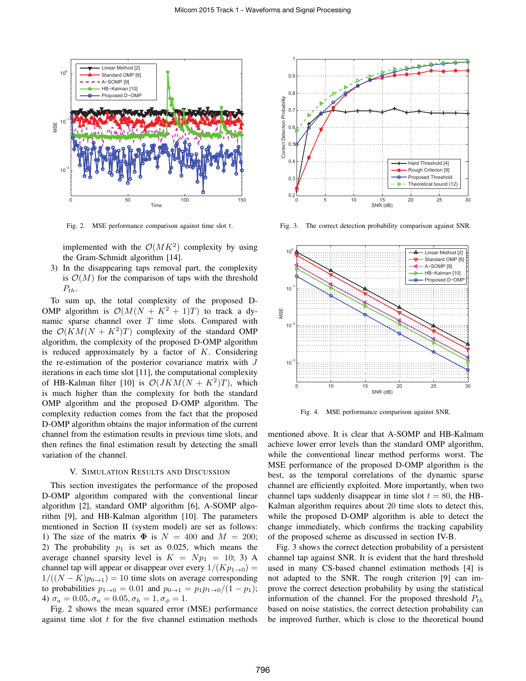

Fig. 2. MSE performance comparison against time slot *t*.

implemented with the  $O(MK^2)$  complexity by using the Gram-Schmidt algorithm [14].

3) In the disappearing taps removal part, the complexity is  $\mathcal{O}(M)$  for the comparison of taps with the threshold  $P_{th}$ .

To sum up, the total complexity of the proposed D-OMP algorithm is  $\mathcal{O}(M(N + K^2 + 1)T)$  to track a dynamic sparse channel over *T* time slots. Compared with the  $O(KM(N + K^2)T)$  complexity of the standard OMP algorithm, the complexity of the proposed D-OMP algorithm is reduced approximately by a factor of *K*. Considering the re-estimation of the posterior covariance matrix with *J* iterations in each time slot [11], the computational complexity of HB-Kalman filter [10] is  $\mathcal{O}(JKM(N + K^2)T)$ , which is much higher than the complexity for both the standard OMP algorithm and the proposed D-OMP algorithm. The complexity reduction comes from the fact that the proposed D-OMP algorithm obtains the major information of the current channel from the estimation results in previous time slots, and then refines the final estimation result by detecting the small variation of the channel.

## V. SIMULATION RESULTS AND DISCUSSION

This section investigates the performance of the proposed D-OMP algorithm compared with the conventional linear algorithm [2], standard OMP algorithm [6], A-SOMP algorithm [9], and HB-Kalman algorithm [10]. The parameters mentioned in Section II (system model) are set as follows: 1) The size of the matrix  $\Phi$  is  $N = 400$  and  $M = 200$ ; 2) The probability  $p_1$  is set as 0.025, which means the average channel sparsity level is  $K = Np_1 = 10; 3$  A channel tap will appear or disappear over every  $1/(Kp_{1\rightarrow 0})$  =  $1/((N - K)p_{0\rightarrow 1}) = 10$  time slots on average corresponding to probabilities  $p_{1\to 0} = 0.01$  and  $p_{0\to 1} = p_1 p_{1\to 0}/(1 - p_1);$ 4)  $\sigma_a = 0.05, \sigma_n = 0.05, \sigma_h = 1, \sigma_\phi = 1.$ 

Fig. 2 shows the mean squared error (MSE) performance against time slot *t* for the five channel estimation methods



Fig. 3. The correct detection probability comparison against SNR.



Fig. 4. MSE performance comparison against SNR.

mentioned above. It is clear that A-SOMP and HB-Kalmam achieve lower error levels than the standard OMP algorithm, while the conventional linear method performs worst. The MSE performance of the proposed D-OMP algorithm is the best, as the temporal correlations of the dynamic sparse channel are efficiently exploited. More importantly, when two channel taps suddenly disappear in time slot  $t = 80$ , the HB-Kalman algorithm requires about 20 time slots to detect this, while the proposed D-OMP algorithm is able to detect the change immediately, which confirms the tracking capability of the proposed scheme as discussed in section IV-B.

Fig. 3 shows the correct detection probability of a persistent channel tap against SNR. It is evident that the hard threshold used in many CS-based channel estimation methods [4] is not adapted to the SNR. The rough criterion [9] can improve the correct detection probability by using the statistical information of the channel. For the proposed threshold *Pth* based on noise statistics, the correct detection probability can be improved further, which is close to the theoretical bound